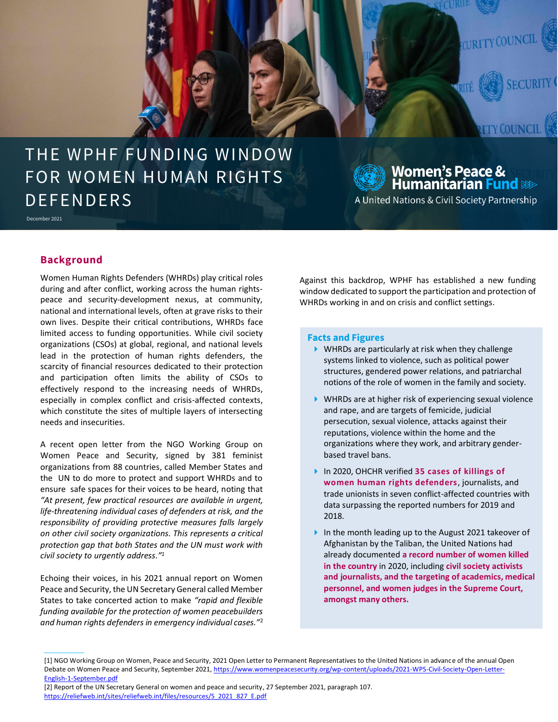

# THE WPHF FUNDING WINDOW FOR WOMEN HUMAN RIGHTS **DEFENDERS**

December 2021

**Women's Peace &<br>Humanitarian <mark>Fund</mark>** 

A United Nations & Civil Society Partnership

# **Background**

 $\overline{\phantom{a}}$ 

Women Human Rights Defenders (WHRDs) play critical roles during and after conflict, working across the human rightspeace and security-development nexus, at community, national and international levels, often at grave risks to their own lives. Despite their critical contributions, WHRDs face limited access to funding opportunities. While civil society organizations (CSOs) at global, regional, and national levels lead in the protection of human rights defenders, the scarcity of financial resources dedicated to their protection and participation often limits the ability of CSOs to effectively respond to the increasing needs of WHRDs, especially in complex conflict and crisis-affected contexts, which constitute the sites of multiple layers of intersecting needs and insecurities.

A recent open letter from the NGO Working Group on Women Peace and Security, signed by 381 feminist organizations from 88 countries, called Member States and the UN to do more to protect and support WHRDs and to ensure safe spaces for their voices to be heard, noting that *"At present, few practical resources are available in urgent, life-threatening individual cases of defenders at risk, and the responsibility of providing protective measures falls largely on other civil society organizations. This represents a critical protection gap that both States and the UN must work with civil society to urgently address." 1*

Echoing their voices, in his 2021 annual report on Women Peace and Security, the UN Secretary General called Member States to take concerted action to make *"rapid and flexible funding available for the protection of women peacebuilders and human rights defenders in emergency individual cases."*<sup>2</sup>

Against this backdrop, WPHF has established a new funding window dedicated to support the participation and protection of WHRDs working in and on crisis and conflict settings.

#### **Facts and Figures**

- WHRDs are particularly at risk when they challenge systems linked to violence, such as political power structures, gendered power relations, and patriarchal notions of the role of women in the family and society.
- WHRDs are at higher risk of experiencing sexual violence and rape, and are targets of femicide, judicial persecution, sexual violence, attacks against their reputations, violence within the home and the organizations where they work, and arbitrary genderbased travel bans.
- In 2020, OHCHR verified **35 cases of killings of women human rights defenders**, journalists, and trade unionists in seven conflict-affected countries with data surpassing the reported numbers for 2019 and 2018.
- In the month leading up to the August 2021 takeover of Afghanistan by the Taliban, the United Nations had already documented **a record number of women killed in the country** in 2020, including **civil society activists and journalists, and the targeting of academics, medical personnel, and women judges in the Supreme Court, amongst many others.**

<sup>[1]</sup> NGO Working Group on Women, Peace and Security, 2021 Open Letter to Permanent Representatives to the United Nations in advance of the annual Open Debate on Women Peace and Security, September 2021[, https://www.womenpeacesecurity.org/wp-content/uploads/2021-WPS-Civil-Society-Open-Letter-](https://www.womenpeacesecurity.org/wp-content/uploads/2021-WPS-Civil-Society-Open-Letter-English-1-September.pdf)[English-1-September.pdf](https://www.womenpeacesecurity.org/wp-content/uploads/2021-WPS-Civil-Society-Open-Letter-English-1-September.pdf)

<sup>[2]</sup> Report of the UN Secretary General on women and peace and security, 27 September 2021, paragraph 107. [https://reliefweb.int/sites/reliefweb.int/files/resources/S\\_2021\\_827\\_E.pdf](https://reliefweb.int/sites/reliefweb.int/files/resources/S_2021_827_E.pdf)